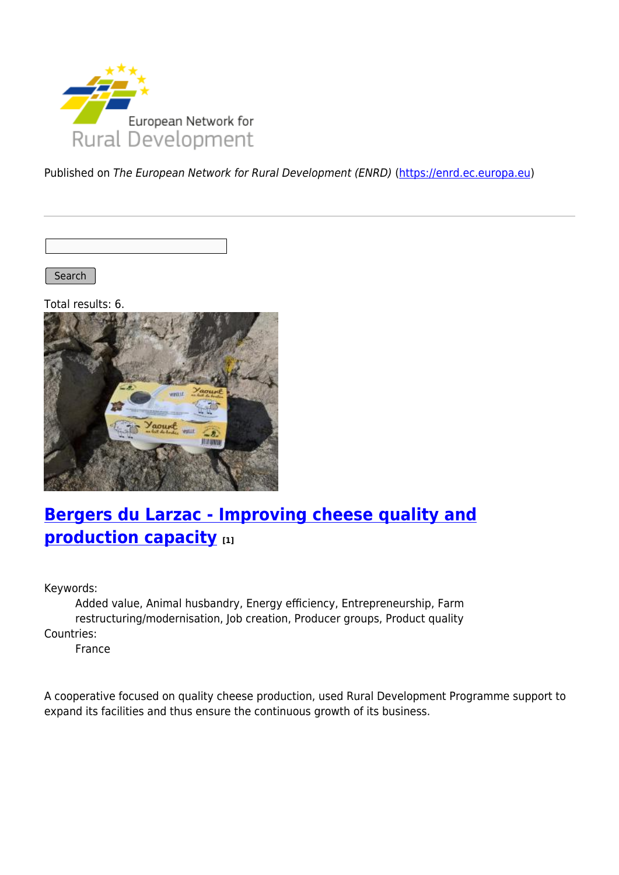

Published on The European Network for Rural Development (ENRD) [\(https://enrd.ec.europa.eu](https://enrd.ec.europa.eu))

Search

Total results: 6.



### **[Bergers du Larzac - Improving cheese quality and](https://enrd.ec.europa.eu/projects-practice/bergers-du-larzac-improving-cheese-quality-and-production-capacity_en) [production capacity](https://enrd.ec.europa.eu/projects-practice/bergers-du-larzac-improving-cheese-quality-and-production-capacity_en) [1]**

Keywords:

Added value, Animal husbandry, Energy efficiency, Entrepreneurship, Farm restructuring/modernisation, Job creation, Producer groups, Product quality Countries:

France

A cooperative focused on quality cheese production, used Rural Development Programme support to expand its facilities and thus ensure the continuous growth of its business.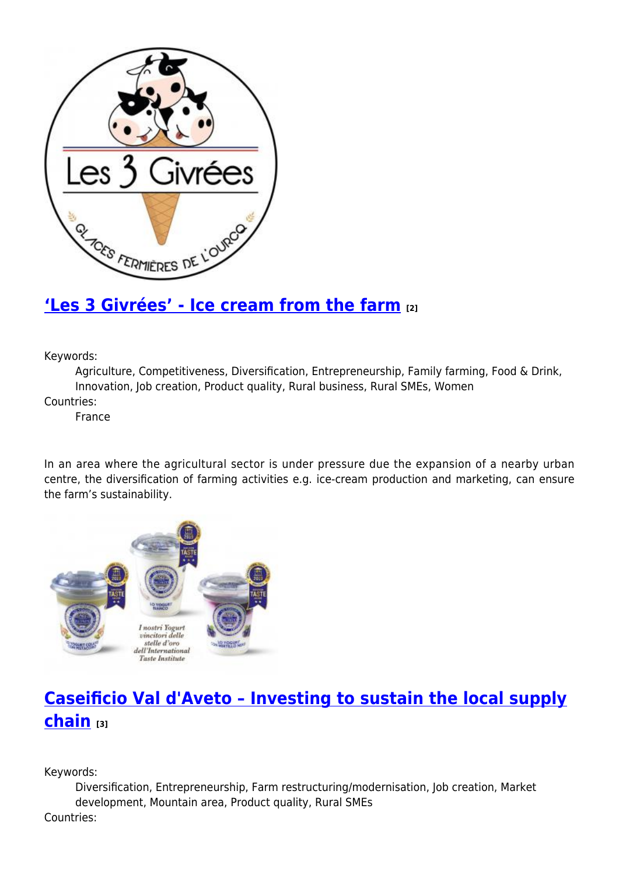

### **['Les 3 Givrées' - Ice cream from the farm](https://enrd.ec.europa.eu/projects-practice/les-3-givrees-ice-cream-farm_en) [2]**

Keywords:

Agriculture, Competitiveness, Diversification, Entrepreneurship, Family farming, Food & Drink, Innovation, Job creation, Product quality, Rural business, Rural SMEs, Women

Countries:

France

In an area where the agricultural sector is under pressure due the expansion of a nearby urban centre, the diversification of farming activities e.g. ice-cream production and marketing, can ensure the farm's sustainability.



# **[Caseificio Val d'Aveto – Investing to sustain the local supply](https://enrd.ec.europa.eu/projects-practice/caseificio-val-daveto-investing-sustain-local-supply-chain_en) [chain](https://enrd.ec.europa.eu/projects-practice/caseificio-val-daveto-investing-sustain-local-supply-chain_en) [3]**

Keywords:

Diversification, Entrepreneurship, Farm restructuring/modernisation, Job creation, Market development, Mountain area, Product quality, Rural SMEs

Countries: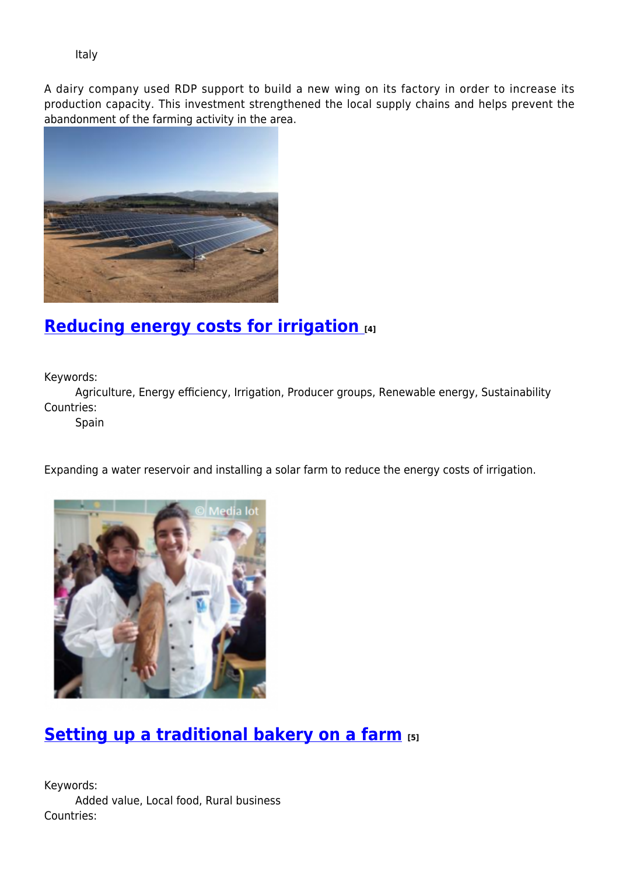Italy

A dairy company used RDP support to build a new wing on its factory in order to increase its production capacity. This investment strengthened the local supply chains and helps prevent the abandonment of the farming activity in the area.



# **[Reducing energy costs for irrigation](https://enrd.ec.europa.eu/projects-practice/reducing-energy-costs-irrigation_en) [4]**

Keywords:

Agriculture, Energy efficiency, Irrigation, Producer groups, Renewable energy, Sustainability Countries:

Spain

Expanding a water reservoir and installing a solar farm to reduce the energy costs of irrigation.



### **[Setting up a traditional bakery on a farm](https://enrd.ec.europa.eu/projects-practice/setting-traditional-bakery-farm_en) [5]**

Keywords: Added value, Local food, Rural business Countries: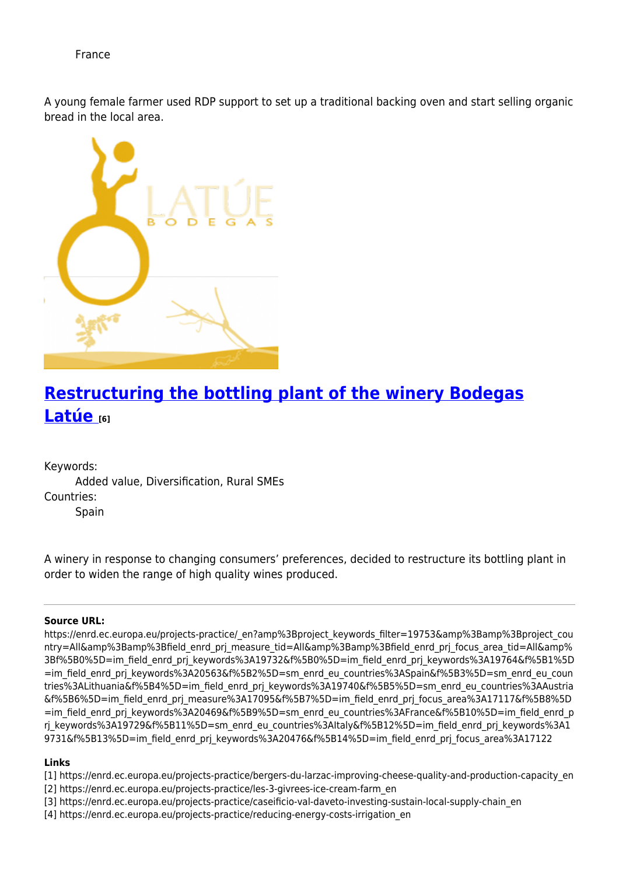France

A young female farmer used RDP support to set up a traditional backing oven and start selling organic bread in the local area.



# **[Restructuring the bottling plant of the winery Bodegas](https://enrd.ec.europa.eu/projects-practice/restructuring-bottling-plant-winery-bodegas-latue_en) [Latúe](https://enrd.ec.europa.eu/projects-practice/restructuring-bottling-plant-winery-bodegas-latue_en) [6]**

Keywords:

Added value, Diversification, Rural SMEs Countries: Spain

A winery in response to changing consumers' preferences, decided to restructure its bottling plant in order to widen the range of high quality wines produced.

#### **Source URL:**

https://enrd.ec.europa.eu/projects-practice/\_en?amp%3Bproject\_keywords\_filter=19753&amp%3Bamp%3Bproject\_cou ntry=All&amp%3Bamp%3Bfield\_enrd\_prj\_measure\_tid=All&amp%3Bamp%3Bfield\_enrd\_prj\_focus\_area\_tid=All&amp% 3Bf%5B0%5D=im\_field\_enrd\_prj\_keywords%3A19732&f%5B0%5D=im\_field\_enrd\_prj\_keywords%3A19764&f%5B1%5D =im\_field\_enrd\_prj\_keywords%3A20563&f%5B2%5D=sm\_enrd\_eu\_countries%3ASpain&f%5B3%5D=sm\_enrd\_eu\_coun tries%3ALithuania&f%5B4%5D=im\_field\_enrd\_prj\_keywords%3A19740&f%5B5%5D=sm\_enrd\_eu\_countries%3AAustria &f%5B6%5D=im\_field\_enrd\_prj\_measure%3A17095&f%5B7%5D=im\_field\_enrd\_prj\_focus\_area%3A17117&f%5B8%5D =im\_field\_enrd\_prj\_keywords%3A20469&f%5B9%5D=sm\_enrd\_eu\_countries%3AFrance&f%5B10%5D=im\_field\_enrd\_p rj keywords%3A19729&f%5B11%5D=sm\_enrd\_eu\_countries%3Altaly&f%5B12%5D=im\_field\_enrd\_prj\_keywords%3A1 9731&f%5B13%5D=im\_field\_enrd\_prj\_keywords%3A20476&f%5B14%5D=im\_field\_enrd\_prj\_focus\_area%3A17122

#### **Links**

- [1] https://enrd.ec.europa.eu/projects-practice/bergers-du-larzac-improving-cheese-quality-and-production-capacity\_en
- [2] https://enrd.ec.europa.eu/projects-practice/les-3-givrees-ice-cream-farm\_en
- [3] https://enrd.ec.europa.eu/projects-practice/caseificio-val-daveto-investing-sustain-local-supply-chain\_en
- [4] https://enrd.ec.europa.eu/projects-practice/reducing-energy-costs-irrigation\_en